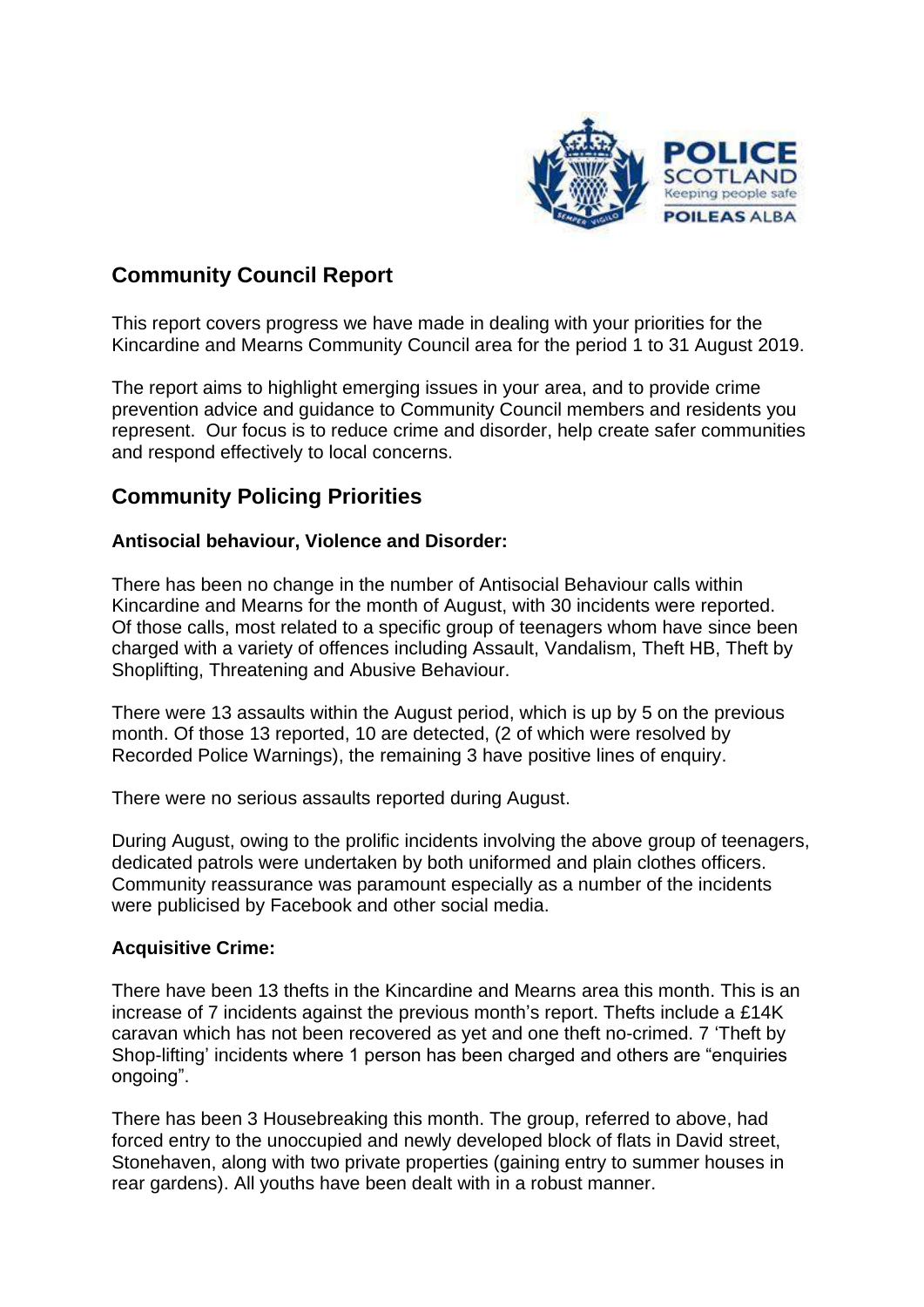

## **Community Council Report**

This report covers progress we have made in dealing with your priorities for the Kincardine and Mearns Community Council area for the period 1 to 31 August 2019.

The report aims to highlight emerging issues in your area, and to provide crime prevention advice and guidance to Community Council members and residents you represent. Our focus is to reduce crime and disorder, help create safer communities and respond effectively to local concerns.

## **Community Policing Priorities**

#### **Antisocial behaviour, Violence and Disorder:**

There has been no change in the number of Antisocial Behaviour calls within Kincardine and Mearns for the month of August, with 30 incidents were reported. Of those calls, most related to a specific group of teenagers whom have since been charged with a variety of offences including Assault, Vandalism, Theft HB, Theft by Shoplifting, Threatening and Abusive Behaviour.

There were 13 assaults within the August period, which is up by 5 on the previous month. Of those 13 reported, 10 are detected, (2 of which were resolved by Recorded Police Warnings), the remaining 3 have positive lines of enquiry.

There were no serious assaults reported during August.

During August, owing to the prolific incidents involving the above group of teenagers, dedicated patrols were undertaken by both uniformed and plain clothes officers. Community reassurance was paramount especially as a number of the incidents were publicised by Facebook and other social media.

#### **Acquisitive Crime:**

There have been 13 thefts in the Kincardine and Mearns area this month. This is an increase of 7 incidents against the previous month's report. Thefts include a £14K caravan which has not been recovered as yet and one theft no-crimed. 7 'Theft by Shop-lifting' incidents where 1 person has been charged and others are "enquiries ongoing".

There has been 3 Housebreaking this month. The group, referred to above, had forced entry to the unoccupied and newly developed block of flats in David street, Stonehaven, along with two private properties (gaining entry to summer houses in rear gardens). All youths have been dealt with in a robust manner.